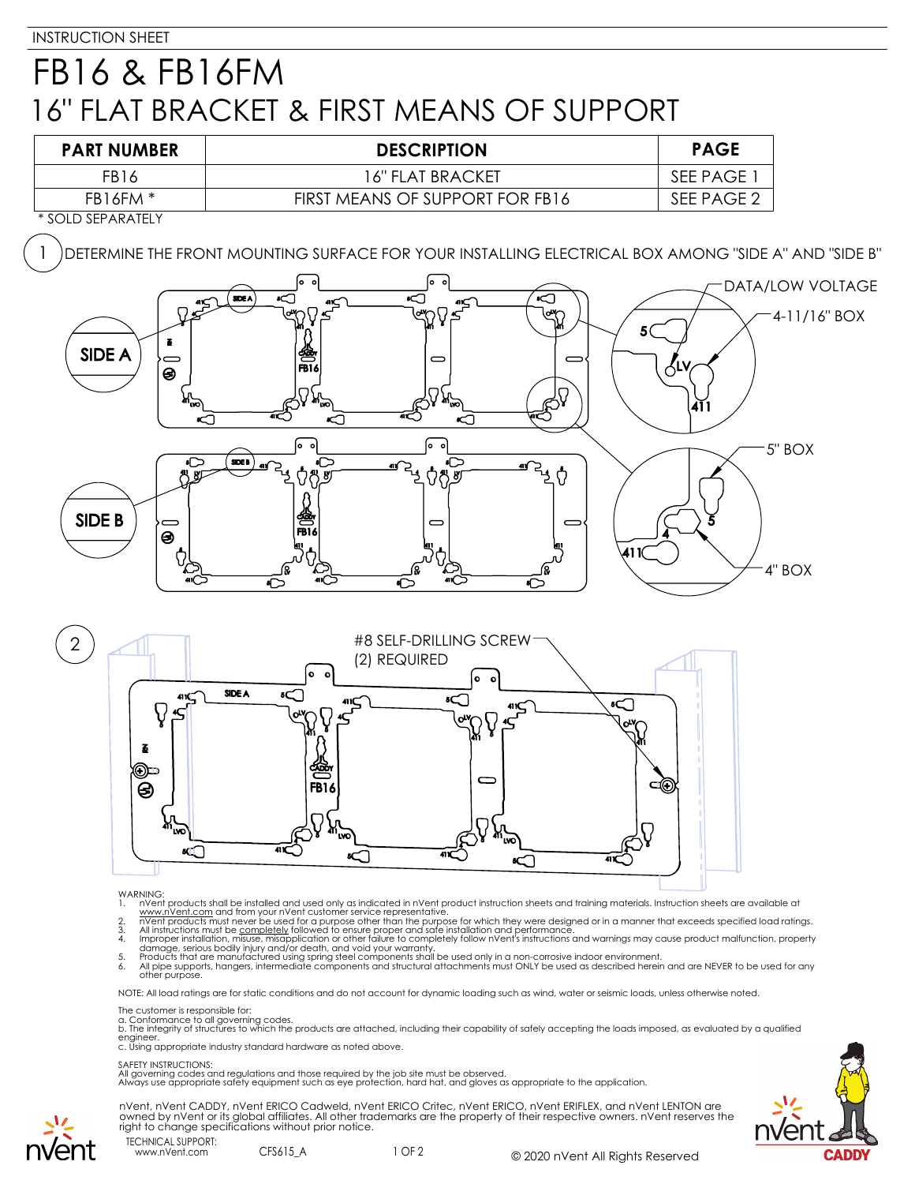## FB16 & FB16FM 16" FLAT BRACKET & FIRST MEANS OF SUPPORT





- 
- 
- WARNING:<br>
1. NYent products shall be installed and used only as indicated in nVent product instruction sheets and training materials. Instruction sheets are available at<br>
1. www.nVent.com and from your nVent customer servi

NOTE: All load ratings are for static conditions and do not account for dynamic loading such as wind, water or seismic loads, unless otherwise noted.

The customer is responsible for:

a. Conformance to all governing codes.<br>b. The integrity of structures to which the products are attached, including their capability of safely accepting the loads imposed, as evaluated by a qualified engineer. c. Using appropriate industry standard hardware as noted above.

## SAFETY INSTRUCTIONS:

All governing codes and regulations and those required by the job site must be observed. Always use appropriate safety equipment such as eye protection, hard hat, and gloves as appropriate to the application.







www.nVent.com CFS615 A